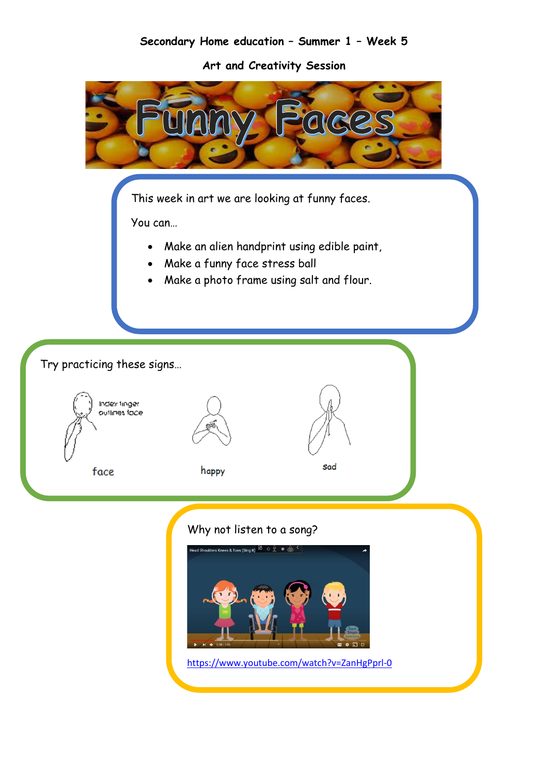#### **Secondary Home education – Summer 1 – Week 5**

**Art and Creativity Session**

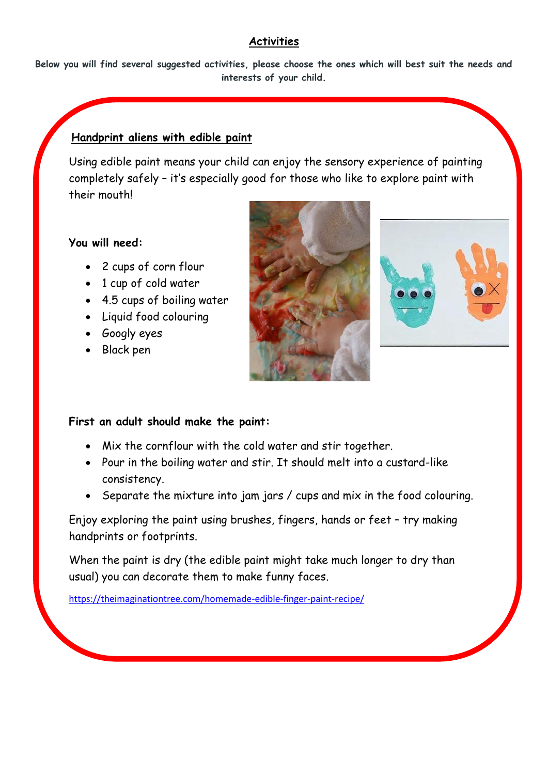### **Activities**

**Below you will find several suggested activities, please choose the ones which will best suit the needs and interests of your child.**

## **Handprint aliens with edible paint**

Using edible paint means your child can enjoy the sensory experience of painting completely safely – it's especially good for those who like to explore paint with their mouth!

**You will need:**

- 2 cups of corn flour
- 1 cup of cold water
- 4.5 cups of boiling water
- Liquid food colouring
- Googly eyes
- Black pen





## **First an adult should make the paint:**

- Mix the cornflour with the cold water and stir together.
- Pour in the boiling water and stir. It should melt into a custard-like consistency.
- Separate the mixture into jam jars / cups and mix in the food colouring.

Enjoy exploring the paint using brushes, fingers, hands or feet – try making handprints or footprints.

When the paint is dry (the edible paint might take much longer to dry than usual) you can decorate them to make funny faces.

<https://theimaginationtree.com/homemade-edible-finger-paint-recipe/>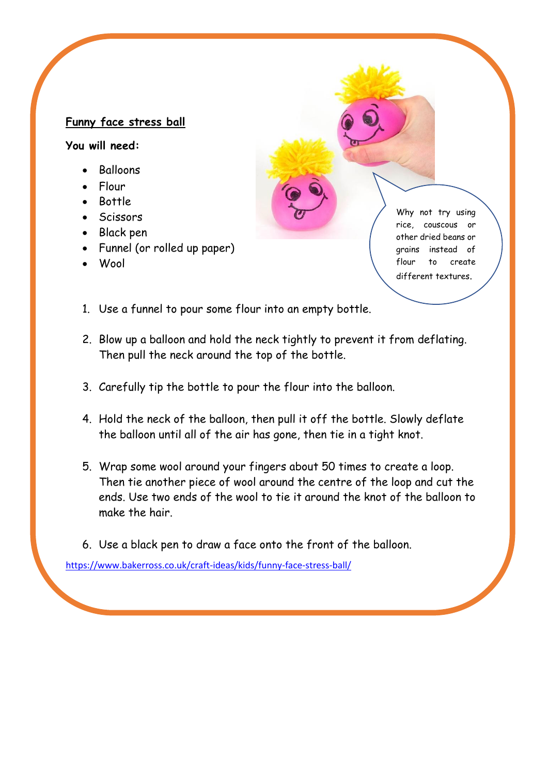## **Funny face stress ball**

#### **You will need:**

- Balloons
- Flour
- Bottle
- Scissors
- Black pen
- Funnel (or rolled up paper)
- Wool

Why not try using rice, couscous or other dried beans or grains instead of flour to create different textures.

- 1. Use a funnel to pour some flour into an empty bottle.
- 2. Blow up a balloon and hold the neck tightly to prevent it from deflating. Then pull the neck around the top of the bottle.
- 3. Carefully tip the bottle to pour the flour into the balloon.
- 4. Hold the neck of the balloon, then pull it off the bottle. Slowly deflate the balloon until all of the air has gone, then tie in a tight knot.
- 5. Wrap some wool around your fingers about 50 times to create a loop. Then tie another piece of wool around the centre of the loop and cut the ends. Use two ends of the wool to tie it around the knot of the balloon to make the hair.
- 6. Use a black pen to draw a face onto the front of the balloon.

<https://www.bakerross.co.uk/craft-ideas/kids/funny-face-stress-ball/>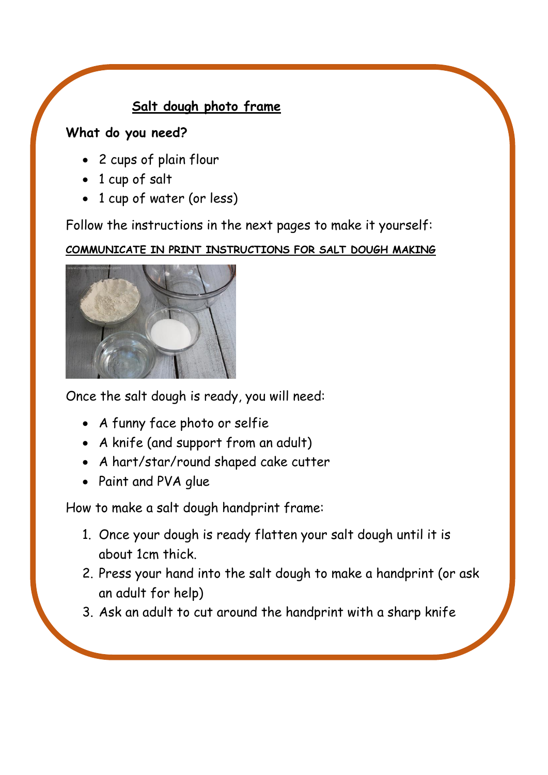# **Salt dough photo frame**

# **What do you need?**

- 2 cups of plain flour
- 1 cup of salt
- 1 cup of water (or less)

Follow the instructions in the next pages to make it yourself:

# **COMMUNICATE IN PRINT INSTRUCTIONS FOR SALT DOUGH MAKING**



Once the salt dough is ready, you will need:

- A funny face photo or selfie
- A knife (and support from an adult)
- A hart/star/round shaped cake cutter
- Paint and PVA glue

How to make a salt dough handprint frame:

- 1. Once your dough is ready flatten your salt dough until it is about 1cm thick.
- 2. Press your hand into the salt dough to make a handprint (or ask an adult for help)
- 3. Ask an adult to cut around the handprint with a sharp knife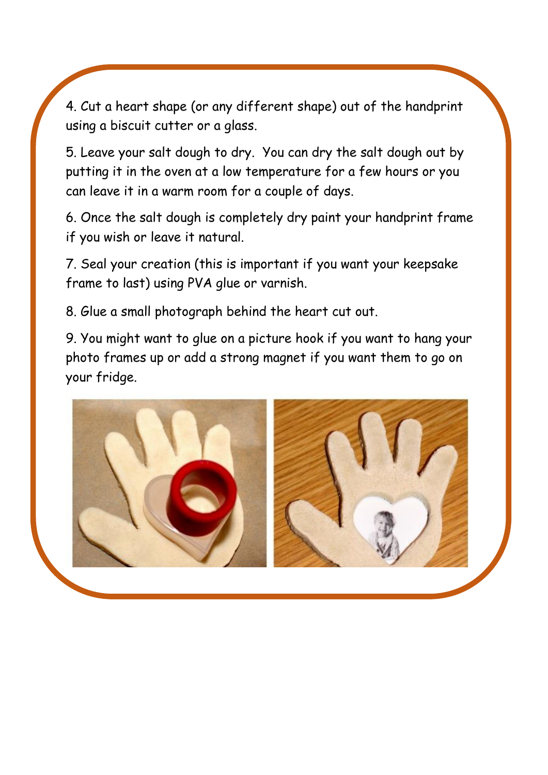4. Cut a heart shape (or any different shape) out of the handprint using a biscuit cutter or a glass.

5. Leave your salt dough to dry. You can dry the salt dough out by putting it in the oven at a low temperature for a few hours or you can leave it in a warm room for a couple of days.

6. Once the salt dough is completely dry paint your handprint frame if you wish or leave it natural.

7. Seal your creation (this is important if you want your keepsake frame to last) using PVA glue or varnish.

8. Glue a small photograph behind the heart cut out.

9. You might want to glue on a picture hook if you want to hang your photo frames up or add a strong magnet if you want them to go on your fridge.

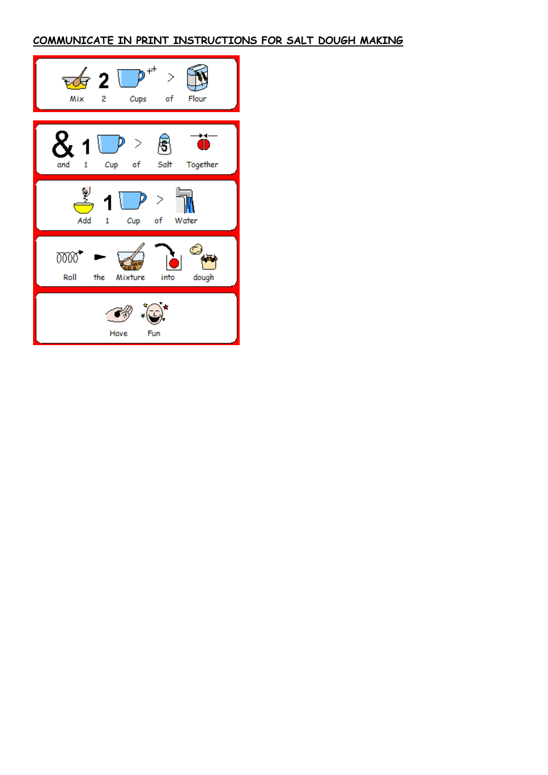#### **COMMUNICATE IN PRINT INSTRUCTIONS FOR SALT DOUGH MAKING**

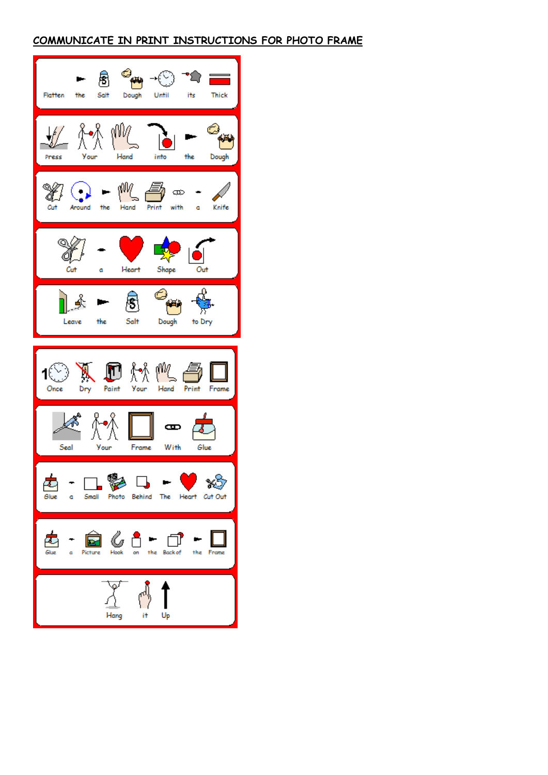#### **COMMUNICATE IN PRINT INSTRUCTIONS FOR PHOTO FRAME**

| →(∑) =<br><b>Thick</b><br>Flatten<br>the<br>Until<br>– Salt<br>Dough<br>its    |
|--------------------------------------------------------------------------------|
| <u>A M</u><br>Your<br>Hand<br>into<br>the<br>Dough<br>Press                    |
| $\bigcirc$ and the Hand Print with<br>$\infty$<br>Knife<br>Cut<br>$\mathbf{a}$ |
| 焽<br>Heart<br>Shape<br>Cut<br>Out<br>α                                         |
| q<br>Salt<br>Dough<br>the<br>to Dry<br>Leave                                   |
|                                                                                |
| 医回状化气<br>Your Hand<br>Paint<br>Print<br>Frame<br>Once<br>Dry                   |
| ∦≁∱<br>ᠽ<br>Đ<br>Seal<br>Glue<br>Your<br>Frame<br>With                         |
| $\Box$<br>Small<br>Photo Behind The Heart Cut Out<br>Siue<br>a                 |
| KA► ਰਾ<br>the<br>Back of<br>Picture<br>Hook<br>on<br>the<br>Frame<br>a         |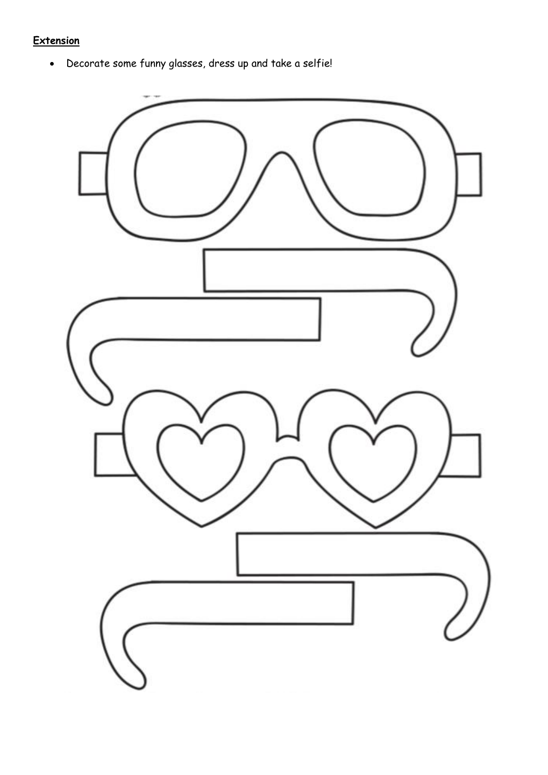# **Extension**

• Decorate some funny glasses, dress up and take a selfie!